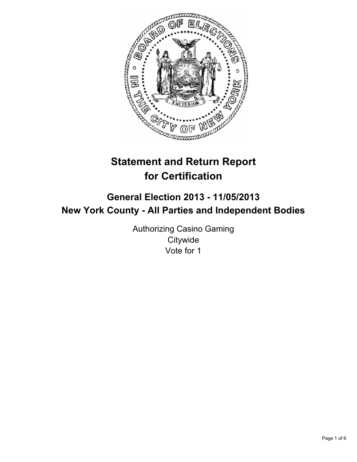

# **Statement and Return Report for Certification**

# **General Election 2013 - 11/05/2013 New York County - All Parties and Independent Bodies**

Authorizing Casino Gaming **Citywide** Vote for 1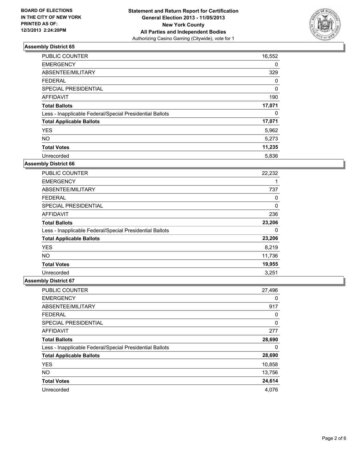

| <b>PUBLIC COUNTER</b>                                    | 16,552 |
|----------------------------------------------------------|--------|
| <b>EMERGENCY</b>                                         | 0      |
| ABSENTEE/MILITARY                                        | 329    |
| <b>FEDERAL</b>                                           | 0      |
| <b>SPECIAL PRESIDENTIAL</b>                              | 0      |
| <b>AFFIDAVIT</b>                                         | 190    |
| <b>Total Ballots</b>                                     | 17,071 |
| Less - Inapplicable Federal/Special Presidential Ballots | 0      |
| <b>Total Applicable Ballots</b>                          | 17,071 |
| <b>YES</b>                                               | 5,962  |
| <b>NO</b>                                                | 5,273  |
| <b>Total Votes</b>                                       | 11,235 |
| Unrecorded                                               | 5,836  |

# **Assembly District 66**

| <b>PUBLIC COUNTER</b>                                    | 22,232 |
|----------------------------------------------------------|--------|
| <b>EMERGENCY</b>                                         | 1      |
| ABSENTEE/MILITARY                                        | 737    |
| <b>FEDERAL</b>                                           | 0      |
| <b>SPECIAL PRESIDENTIAL</b>                              | 0      |
| <b>AFFIDAVIT</b>                                         | 236    |
| <b>Total Ballots</b>                                     | 23,206 |
| Less - Inapplicable Federal/Special Presidential Ballots | 0      |
| <b>Total Applicable Ballots</b>                          | 23,206 |
| <b>YES</b>                                               | 8,219  |
| <b>NO</b>                                                | 11,736 |
| <b>Total Votes</b>                                       | 19,955 |
| Unrecorded                                               | 3,251  |

| PUBLIC COUNTER                                           | 27,496 |
|----------------------------------------------------------|--------|
| <b>EMERGENCY</b>                                         | 0      |
| ABSENTEE/MILITARY                                        | 917    |
| <b>FEDERAL</b>                                           | 0      |
| SPECIAL PRESIDENTIAL                                     | 0      |
| AFFIDAVIT                                                | 277    |
| <b>Total Ballots</b>                                     | 28,690 |
| Less - Inapplicable Federal/Special Presidential Ballots | 0      |
| <b>Total Applicable Ballots</b>                          | 28,690 |
| <b>YES</b>                                               | 10,858 |
| <b>NO</b>                                                | 13,756 |
| <b>Total Votes</b>                                       | 24,614 |
| Unrecorded                                               | 4,076  |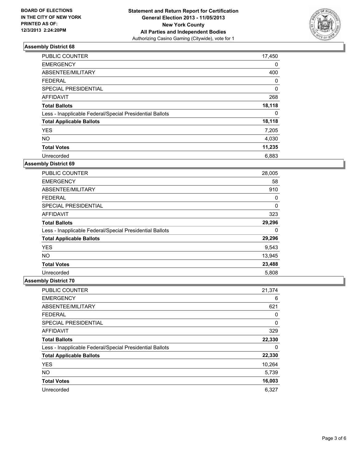

| <b>PUBLIC COUNTER</b>                                    | 17,450 |
|----------------------------------------------------------|--------|
| <b>EMERGENCY</b>                                         | 0      |
| ABSENTEE/MILITARY                                        | 400    |
| <b>FEDERAL</b>                                           | 0      |
| <b>SPECIAL PRESIDENTIAL</b>                              | 0      |
| <b>AFFIDAVIT</b>                                         | 268    |
| <b>Total Ballots</b>                                     | 18,118 |
| Less - Inapplicable Federal/Special Presidential Ballots | 0      |
| <b>Total Applicable Ballots</b>                          | 18,118 |
| <b>YES</b>                                               | 7,205  |
| <b>NO</b>                                                | 4,030  |
| <b>Total Votes</b>                                       | 11,235 |
| Unrecorded                                               | 6,883  |

# **Assembly District 69**

| <b>PUBLIC COUNTER</b>                                    | 28,005 |
|----------------------------------------------------------|--------|
| <b>EMERGENCY</b>                                         | 58     |
| ABSENTEE/MILITARY                                        | 910    |
| FEDERAL                                                  | 0      |
| <b>SPECIAL PRESIDENTIAL</b>                              | 0      |
| <b>AFFIDAVIT</b>                                         | 323    |
| <b>Total Ballots</b>                                     | 29,296 |
| Less - Inapplicable Federal/Special Presidential Ballots | 0      |
| <b>Total Applicable Ballots</b>                          | 29,296 |
| <b>YES</b>                                               | 9,543  |
| <b>NO</b>                                                | 13,945 |
| <b>Total Votes</b>                                       | 23,488 |
| Unrecorded                                               | 5,808  |

| PUBLIC COUNTER                                           | 21,374 |
|----------------------------------------------------------|--------|
| <b>EMERGENCY</b>                                         | 6      |
| ABSENTEE/MILITARY                                        | 621    |
| <b>FEDERAL</b>                                           | 0      |
| SPECIAL PRESIDENTIAL                                     | 0      |
| AFFIDAVIT                                                | 329    |
| <b>Total Ballots</b>                                     | 22,330 |
| Less - Inapplicable Federal/Special Presidential Ballots | 0      |
| <b>Total Applicable Ballots</b>                          | 22,330 |
| <b>YES</b>                                               | 10,264 |
| <b>NO</b>                                                | 5,739  |
| <b>Total Votes</b>                                       | 16,003 |
| Unrecorded                                               | 6,327  |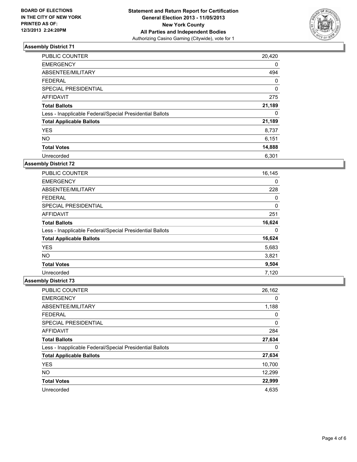

| <b>PUBLIC COUNTER</b>                                    | 20,420 |
|----------------------------------------------------------|--------|
| <b>EMERGENCY</b>                                         | 0      |
| ABSENTEE/MILITARY                                        | 494    |
| <b>FEDERAL</b>                                           | 0      |
| SPECIAL PRESIDENTIAL                                     | 0      |
| <b>AFFIDAVIT</b>                                         | 275    |
| <b>Total Ballots</b>                                     | 21,189 |
| Less - Inapplicable Federal/Special Presidential Ballots | 0      |
| <b>Total Applicable Ballots</b>                          | 21,189 |
| <b>YES</b>                                               | 8,737  |
| <b>NO</b>                                                | 6,151  |
| <b>Total Votes</b>                                       | 14,888 |
| Unrecorded                                               | 6,301  |

# **Assembly District 72**

| <b>PUBLIC COUNTER</b>                                    | 16,145 |
|----------------------------------------------------------|--------|
| <b>EMERGENCY</b>                                         | 0      |
| ABSENTEE/MILITARY                                        | 228    |
| <b>FEDERAL</b>                                           | 0      |
| <b>SPECIAL PRESIDENTIAL</b>                              | 0      |
| AFFIDAVIT                                                | 251    |
| <b>Total Ballots</b>                                     | 16,624 |
| Less - Inapplicable Federal/Special Presidential Ballots | 0      |
| <b>Total Applicable Ballots</b>                          | 16,624 |
| <b>YES</b>                                               | 5,683  |
| <b>NO</b>                                                | 3,821  |
| <b>Total Votes</b>                                       | 9,504  |
| Unrecorded                                               | 7,120  |

| PUBLIC COUNTER                                           | 26,162 |
|----------------------------------------------------------|--------|
| <b>EMERGENCY</b>                                         | 0      |
| ABSENTEE/MILITARY                                        | 1,188  |
| <b>FEDERAL</b>                                           | 0      |
| SPECIAL PRESIDENTIAL                                     | 0      |
| <b>AFFIDAVIT</b>                                         | 284    |
| <b>Total Ballots</b>                                     | 27,634 |
| Less - Inapplicable Federal/Special Presidential Ballots | 0      |
| <b>Total Applicable Ballots</b>                          | 27,634 |
| <b>YES</b>                                               | 10,700 |
| <b>NO</b>                                                | 12,299 |
| <b>Total Votes</b>                                       | 22,999 |
| Unrecorded                                               | 4,635  |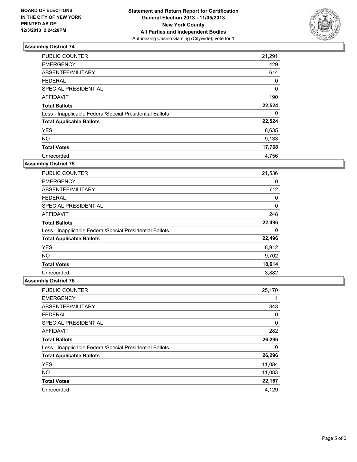

| <b>PUBLIC COUNTER</b>                                    | 21,291 |
|----------------------------------------------------------|--------|
| <b>EMERGENCY</b>                                         | 429    |
| ABSENTEE/MILITARY                                        | 614    |
| <b>FEDERAL</b>                                           | 0      |
| SPECIAL PRESIDENTIAL                                     | 0      |
| <b>AFFIDAVIT</b>                                         | 190    |
| <b>Total Ballots</b>                                     | 22,524 |
| Less - Inapplicable Federal/Special Presidential Ballots | 0      |
| <b>Total Applicable Ballots</b>                          | 22,524 |
| <b>YES</b>                                               | 8,635  |
| <b>NO</b>                                                | 9,133  |
| <b>Total Votes</b>                                       | 17,768 |
| Unrecorded                                               | 4.756  |

# **Assembly District 75**

| <b>PUBLIC COUNTER</b>                                    | 21,536 |
|----------------------------------------------------------|--------|
| <b>EMERGENCY</b>                                         | 0      |
| ABSENTEE/MILITARY                                        | 712    |
| <b>FEDERAL</b>                                           | 0      |
| SPECIAL PRESIDENTIAL                                     | 0      |
| AFFIDAVIT                                                | 248    |
| <b>Total Ballots</b>                                     | 22,496 |
| Less - Inapplicable Federal/Special Presidential Ballots | 0      |
| <b>Total Applicable Ballots</b>                          | 22,496 |
| <b>YES</b>                                               | 8,912  |
| <b>NO</b>                                                | 9,702  |
| <b>Total Votes</b>                                       | 18,614 |
| Unrecorded                                               | 3,882  |

| <b>PUBLIC COUNTER</b>                                    | 25,170 |
|----------------------------------------------------------|--------|
| <b>EMERGENCY</b>                                         |        |
| ABSENTEE/MILITARY                                        | 843    |
| <b>FEDERAL</b>                                           | 0      |
| SPECIAL PRESIDENTIAL                                     | 0      |
| AFFIDAVIT                                                | 282    |
| <b>Total Ballots</b>                                     | 26,296 |
| Less - Inapplicable Federal/Special Presidential Ballots | 0      |
| <b>Total Applicable Ballots</b>                          | 26,296 |
| <b>YES</b>                                               | 11,084 |
| <b>NO</b>                                                | 11,083 |
| <b>Total Votes</b>                                       | 22,167 |
| Unrecorded                                               | 4,129  |